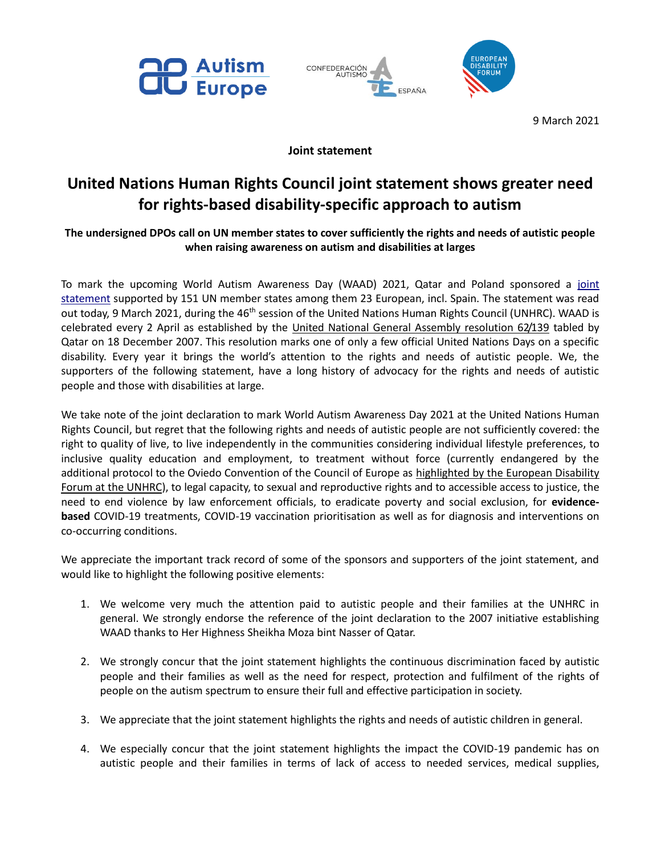





9 March 2021

## **Joint statement**

## **United Nations Human Rights Council joint statement shows greater need for rights-based disability-specific approach to autism**

## **The undersigned DPOs call on UN member states to cover sufficiently the rights and needs of autistic people when raising awareness on autism and disabilities at larges**

To mark the upcoming World Autism Awareness Day (WAAD) 2021, Qatar and Poland sponsored a joint [statement](https://www.autismeurope.org/wp-content/uploads/2021/03/HRC46_Autism_Final.docx) supported by 151 UN member states among them 23 European, incl. Spain. The statement was read out today, 9 March 2021, during the 46<sup>th</sup> session of the United Nations Human Rights Council (UNHRC). WAAD is celebrated every 2 April as established by the [United National General Assembly resolution 62/139](https://undocs.org/en/A/RES/62/139) tabled by Qatar on 18 December 2007. This resolution marks one of only a few official United Nations Days on a specific disability. Every year it brings the world's attention to the rights and needs of autistic people. We, the supporters of the following statement, have a long history of advocacy for the rights and needs of autistic people and those with disabilities at large.

We take note of the joint declaration to mark World Autism Awareness Day 2021 at the United Nations Human Rights Council, but regret that the following rights and needs of autistic people are not sufficiently covered: the right to quality of live, to live independently in the communities considering individual lifestyle preferences, to inclusive quality education and employment, to treatment without force (currently endangered by the additional protocol to the Oviedo Convention of the Council of Europe as highlighted by the European Disability [Forum at the UNHRC\)](https://www.edf-feph.org/statement-interactive-dialogue-with-special-rapporteur-on-the-rights-of-persons-with-disabilities/), to legal capacity, to sexual and reproductive rights and to accessible access to justice, the need to end violence by law enforcement officials, to eradicate poverty and social exclusion, for **evidencebased** COVID-19 treatments, COVID-19 vaccination prioritisation as well as for diagnosis and interventions on co-occurring conditions.

We appreciate the important track record of some of the sponsors and supporters of the joint statement, and would like to highlight the following positive elements:

- 1. We welcome very much the attention paid to autistic people and their families at the UNHRC in general. We strongly endorse the reference of the joint declaration to the 2007 initiative establishing WAAD thanks to Her Highness Sheikha Moza bint Nasser of Qatar.
- 2. We strongly concur that the joint statement highlights the continuous discrimination faced by autistic people and their families as well as the need for respect, protection and fulfilment of the rights of people on the autism spectrum to ensure their full and effective participation in society.
- 3. We appreciate that the joint statement highlights the rights and needs of autistic children in general.
- 4. We especially concur that the joint statement highlights the impact the COVID-19 pandemic has on autistic people and their families in terms of lack of access to needed services, medical supplies,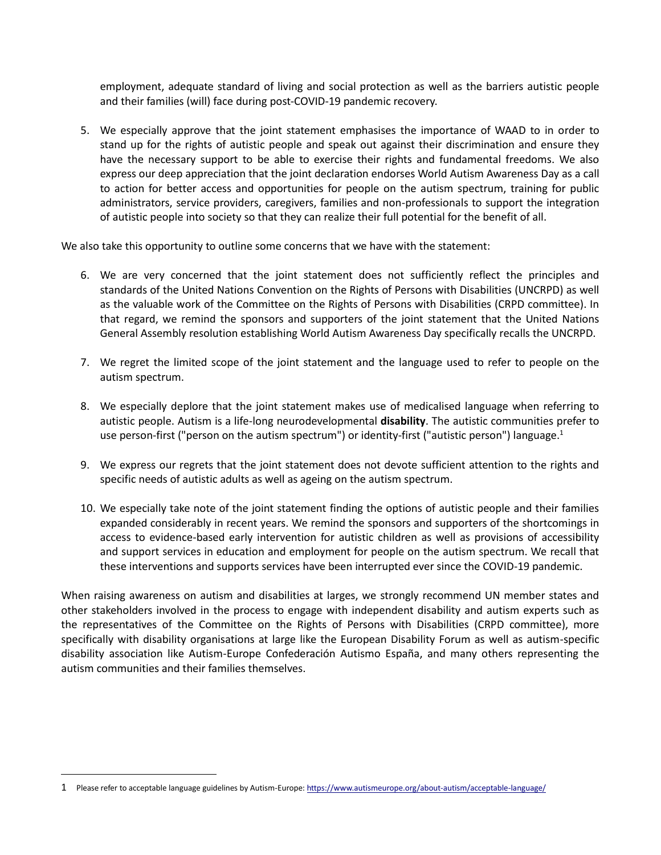employment, adequate standard of living and social protection as well as the barriers autistic people and their families (will) face during post-COVID-19 pandemic recovery.

5. We especially approve that the joint statement emphasises the importance of WAAD to in order to stand up for the rights of autistic people and speak out against their discrimination and ensure they have the necessary support to be able to exercise their rights and fundamental freedoms. We also express our deep appreciation that the joint declaration endorses World Autism Awareness Day as a call to action for better access and opportunities for people on the autism spectrum, training for public administrators, service providers, caregivers, families and non-professionals to support the integration of autistic people into society so that they can realize their full potential for the benefit of all.

We also take this opportunity to outline some concerns that we have with the statement:

- 6. We are very concerned that the joint statement does not sufficiently reflect the principles and standards of the United Nations Convention on the Rights of Persons with Disabilities (UNCRPD) as well as the valuable work of the Committee on the Rights of Persons with Disabilities (CRPD committee). In that regard, we remind the sponsors and supporters of the joint statement that the United Nations General Assembly resolution establishing World Autism Awareness Day specifically recalls the UNCRPD.
- 7. We regret the limited scope of the joint statement and the language used to refer to people on the autism spectrum.
- 8. We especially deplore that the joint statement makes use of medicalised language when referring to autistic people. Autism is a life-long neurodevelopmental **disability**. The autistic communities prefer to use person-first ("person on the autism spectrum") or identity-first ("autistic person") language.<sup>1</sup>
- 9. We express our regrets that the joint statement does not devote sufficient attention to the rights and specific needs of autistic adults as well as ageing on the autism spectrum.
- 10. We especially take note of the joint statement finding the options of autistic people and their families expanded considerably in recent years. We remind the sponsors and supporters of the shortcomings in access to evidence-based early intervention for autistic children as well as provisions of accessibility and support services in education and employment for people on the autism spectrum. We recall that these interventions and supports services have been interrupted ever since the COVID-19 pandemic.

When raising awareness on autism and disabilities at larges, we strongly recommend UN member states and other stakeholders involved in the process to engage with independent disability and autism experts such as the representatives of the Committee on the Rights of Persons with Disabilities (CRPD committee), more specifically with disability organisations at large like the European Disability Forum as well as autism-specific disability association like Autism-Europe Confederación Autismo España, and many others representing the autism communities and their families themselves.

 $\overline{a}$ 

<sup>1</sup> Please refer to acceptable language guidelines by Autism-Europe[: https://www.autismeurope.org/about-autism/acceptable-language/](https://www.autismeurope.org/about-autism/acceptable-language/)